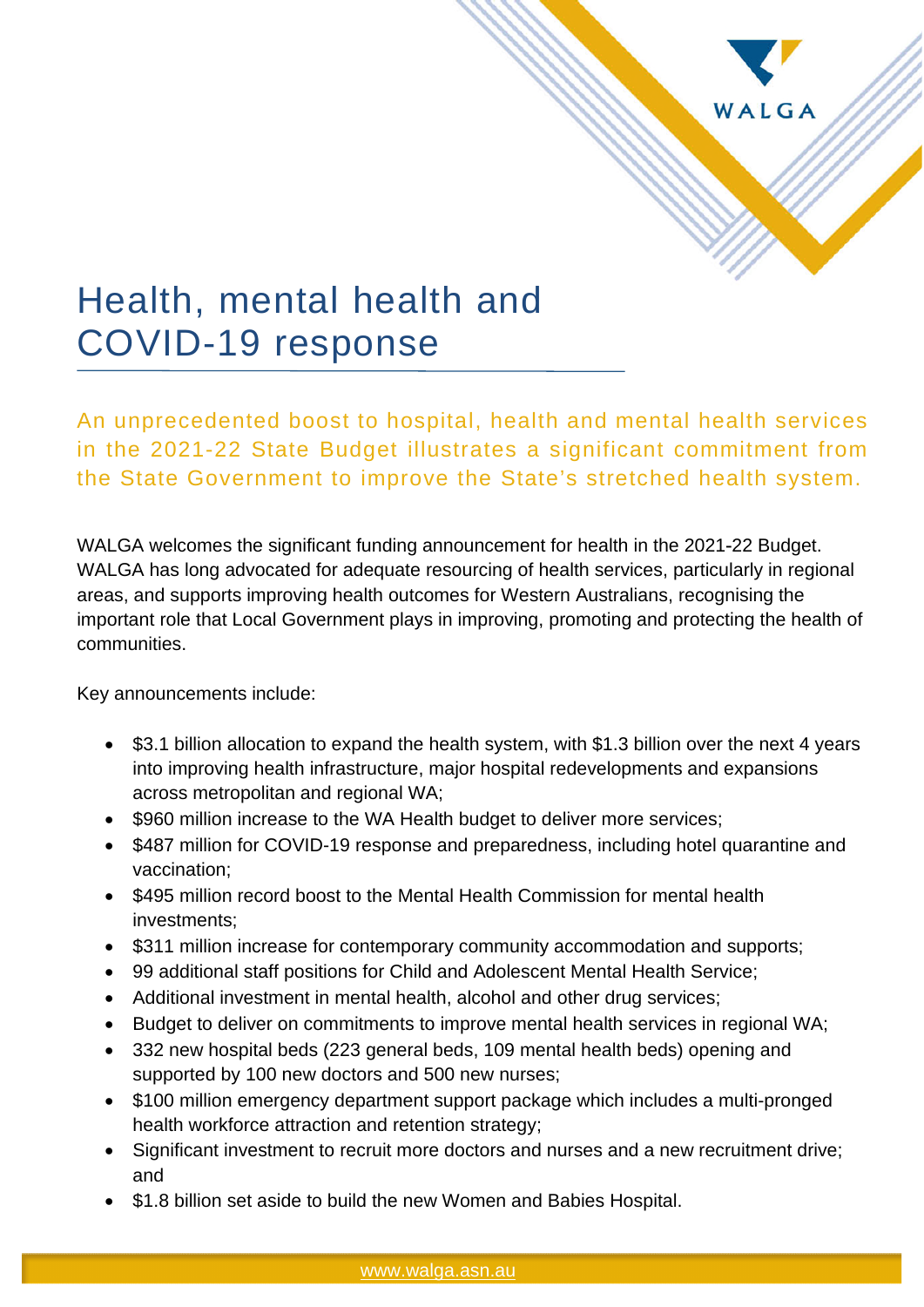

# Health, mental health and COVID-19 response

An unprecedented boost to hospital, health and mental health services in the 2021-22 State Budget illustrates a significant commitment from the State Government to improve the State's stretched health system.

WALGA welcomes the significant funding announcement for health in the 2021-22 Budget. WALGA has long advocated for adequate resourcing of health services, particularly in regional areas, and supports improving health outcomes for Western Australians, recognising the important role that Local Government plays in improving, promoting and protecting the health of communities.

Key announcements include:

- \$3.1 billion allocation to expand the health system, with \$1.3 billion over the next 4 years into improving health infrastructure, major hospital redevelopments and expansions across metropolitan and regional WA;
- \$960 million increase to the WA Health budget to deliver more services;
- \$487 million for COVID-19 response and preparedness, including hotel quarantine and vaccination;
- \$495 million record boost to the Mental Health Commission for mental health investments;
- \$311 million increase for contemporary community accommodation and supports;
- 99 additional staff positions for Child and Adolescent Mental Health Service;
- Additional investment in mental health, alcohol and other drug services;
- Budget to deliver on commitments to improve mental health services in regional WA;
- 332 new hospital beds (223 general beds, 109 mental health beds) opening and supported by 100 new doctors and 500 new nurses;
- \$100 million emergency department support package which includes a multi-pronged health workforce attraction and retention strategy;
- Significant investment to recruit more doctors and nurses and a new recruitment drive; and
- \$1.8 billion set aside to build the new Women and Babies Hospital.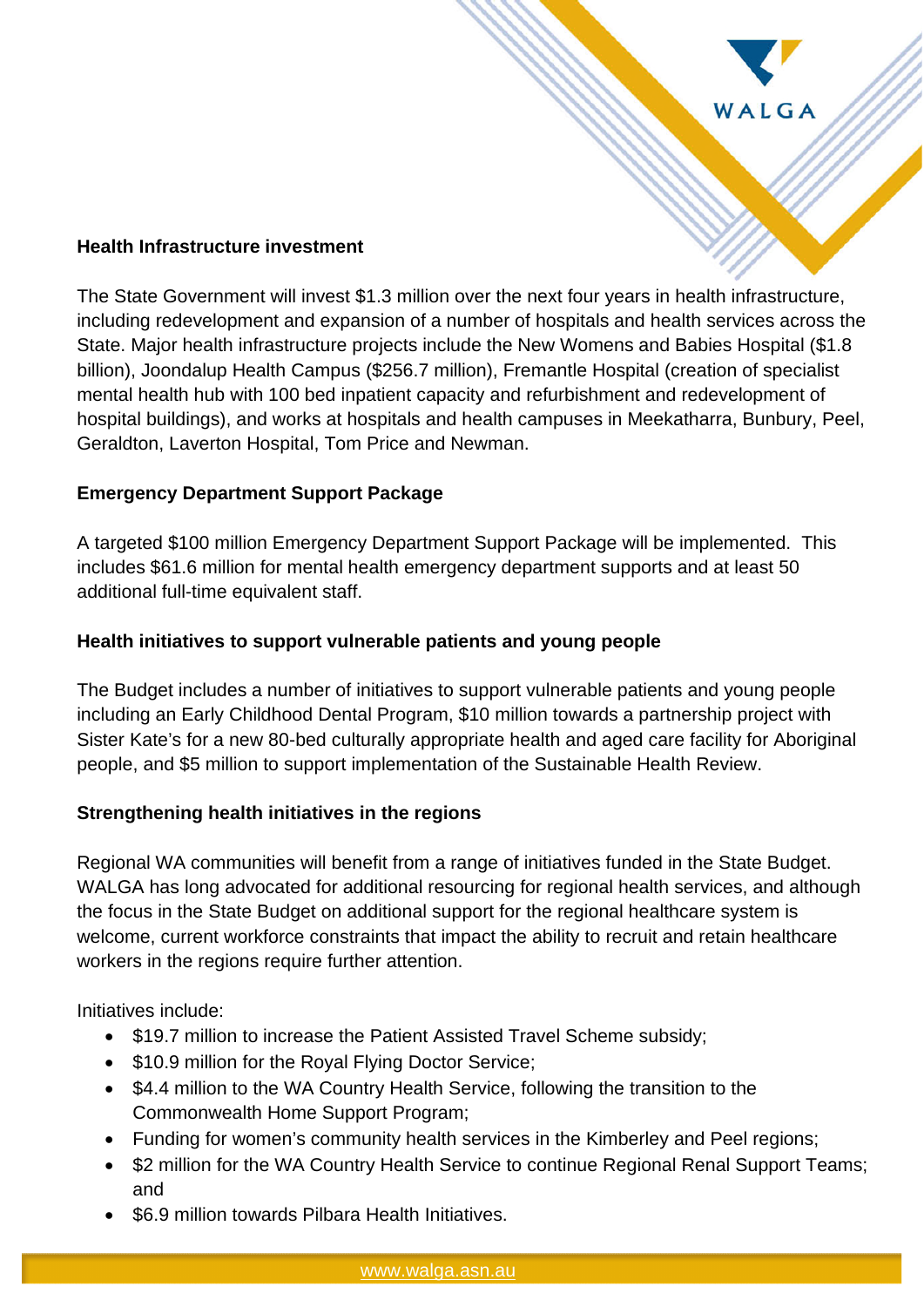

#### **Health Infrastructure investment**

The State Government will invest \$1.3 million over the next four years in health infrastructure, including redevelopment and expansion of a number of hospitals and health services across the State. Major health infrastructure projects include the New Womens and Babies Hospital (\$1.8 billion), Joondalup Health Campus (\$256.7 million), Fremantle Hospital (creation of specialist mental health hub with 100 bed inpatient capacity and refurbishment and redevelopment of hospital buildings), and works at hospitals and health campuses in Meekatharra, Bunbury, Peel, Geraldton, Laverton Hospital, Tom Price and Newman.

### **Emergency Department Support Package**

A targeted \$100 million Emergency Department Support Package will be implemented. This includes \$61.6 million for mental health emergency department supports and at least 50 additional full-time equivalent staff.

### **Health initiatives to support vulnerable patients and young people**

The Budget includes a number of initiatives to support vulnerable patients and young people including an Early Childhood Dental Program, \$10 million towards a partnership project with Sister Kate's for a new 80-bed culturally appropriate health and aged care facility for Aboriginal people, and \$5 million to support implementation of the Sustainable Health Review.

### **Strengthening health initiatives in the regions**

Regional WA communities will benefit from a range of initiatives funded in the State Budget. WALGA has long advocated for additional resourcing for regional health services, and although the focus in the State Budget on additional support for the regional healthcare system is welcome, current workforce constraints that impact the ability to recruit and retain healthcare workers in the regions require further attention.

Initiatives include:

- \$19.7 million to increase the Patient Assisted Travel Scheme subsidy;
- \$10.9 million for the Roval Flying Doctor Service:
- \$4.4 million to the WA Country Health Service, following the transition to the Commonwealth Home Support Program;
- Funding for women's community health services in the Kimberley and Peel regions;
- \$2 million for the WA Country Health Service to continue Regional Renal Support Teams; and
- \$6.9 million towards Pilbara Health Initiatives.